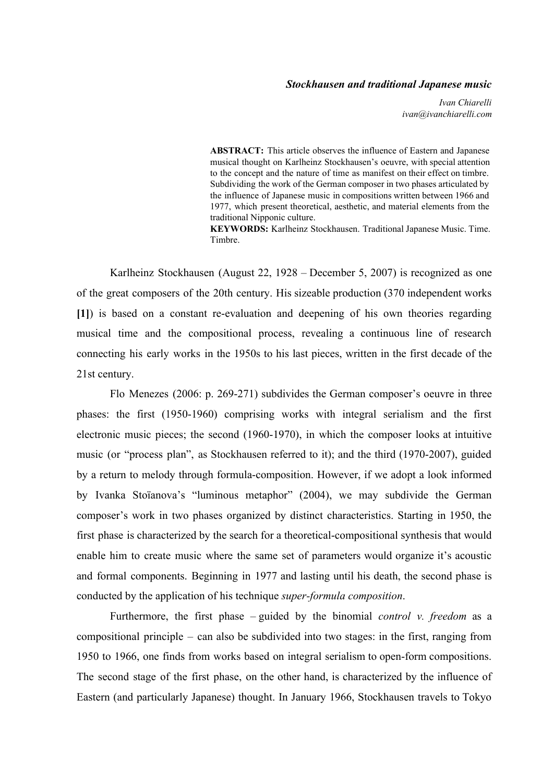#### *Stockhausen and traditional Japanese music*

*Ivan Chiarelli ivan@ivanchiarelli.com*

**ABSTRACT:** This article observes the influence of Eastern and Japanese musical thought on Karlheinz Stockhausen's oeuvre, with special attention to the concept and the nature of time as manifest on their effect on timbre. Subdividing the work of the German composer in two phases articulated by the influence of Japanese music in compositions written between 1966 and 1977, which present theoretical, aesthetic, and material elements from the traditional Nipponic culture.

**KEYWORDS:** Karlheinz Stockhausen. Traditional Japanese Music. Time. Timbre.

Karlheinz Stockhausen (August 22, 1928 – December 5, 2007) is recognized as one of the great composers of the 20th century. His sizeable production (370 independent works [1]) is based on a constant re-evaluation and deepening of his own theories regarding musical time and the compositional process, revealing a continuous line of research connecting his early works in the 1950s to his last pieces, written in the first decade of the 21st century.

Flo Menezes (2006: p. 269-271) subdivides the German composer's oeuvre in three phases: the first (1950-1960) comprising works with integral serialism and the first electronic music pieces; the second  $(1960-1970)$ , in which the composer looks at intuitive music (or "process plan", as Stockhausen referred to it); and the third (1970-2007), guided by a return to melody through formula-composition. However, if we adopt a look informed by Ivanka Stoïanova's "luminous metaphor" (2004), we may subdivide the German composer's work in two phases organized by distinct characteristics. Starting in 1950, the first phase is characterized by the search for a theoretical-compositional synthesis that would enable him to create music where the same set of parameters would organize it's acoustic and formal components. Beginning in 1977 and lasting until his death, the second phase is conducted by the application of his technique *superformula composition*.

Furthermore, the first phase – guided by the binomial *control v. freedom* as a compositional principle – can also be subdivided into two stages: in the first, ranging from 1950 to 1966, one finds from works based on integral serialism to open-form compositions. The second stage of the first phase, on the other hand, is characterized by the influence of Eastern (and particularly Japanese) thought. In January 1966, Stockhausen travels to Tokyo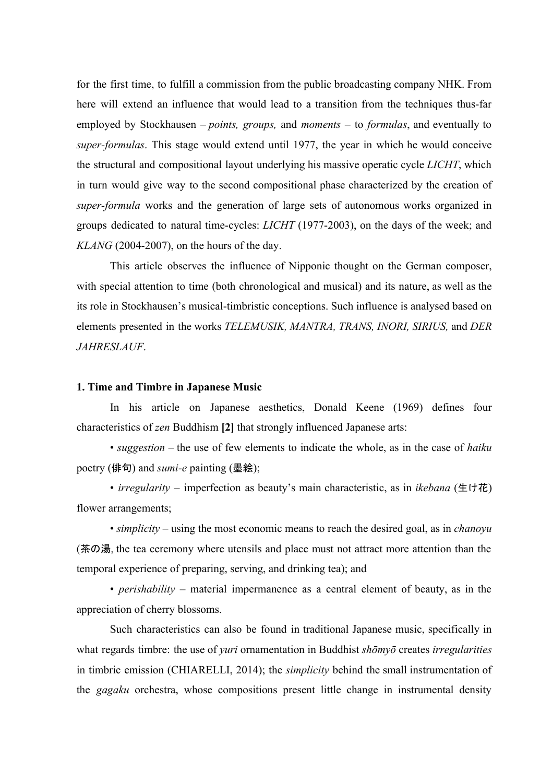for the first time, to fulfill a commission from the public broadcasting company NHK. From here will extend an influence that would lead to a transition from the techniques thus-far employed by Stockhausen – *points, groups,* and *moments* – to *formulas*, and eventually to *super-formulas*. This stage would extend until 1977, the year in which he would conceive the structural and compositional layout underlying his massive operatic cycle *LICHT*, which in turn would give way to the second compositional phase characterized by the creation of *super-formula* works and the generation of large sets of autonomous works organized in groups dedicated to natural time-cycles: *LICHT* (1977-2003), on the days of the week; and  $KLANG$  (2004-2007), on the hours of the day.

This article observes the influence of Nipponic thought on the German composer, with special attention to time (both chronological and musical) and its nature, as well as the its role in Stockhausen's musical-timbristic conceptions. Such influence is analysed based on elements presented in the works *TELEMUSIK, MANTRA, TRANS, INORI, SIRIUS,* and *DER JAHRESLAUF*.

## **1. Time and Timbre in Japanese Music**

In his article on Japanese aesthetics, Donald Keene (1969) defines four characteristics of *zen* Buddhism **[2]**that strongly influenced Japanese arts:

• *suggestion* – the use of few elements to indicate the whole, as in the case of *haiku* poetry (俳句) and *sumi-e* painting (墨絵);

• *irregularity –* imperfection as beauty's main characteristic, as in *ikebana* (生け花) flower arrangements;

• *simplicity* – using the most economic means to reach the desired goal, as in *chanoyu* (茶の湯, the tea ceremony where utensils and place must not attract more attention than the temporal experience of preparing, serving, and drinking tea); and

• *perishability* – material impermanence as a central element of beauty, as in the appreciation of cherry blossoms.

Such characteristics can also be found in traditional Japanese music, specifically in what regards timbre: the use of *yuri* ornamentation in Buddhist *shōmyō* creates *irregularities* in timbric emission (CHIARELLI, 2014); the *simplicity* behind the small instrumentation of the *gagaku* orchestra, whose compositions present little change in instrumental density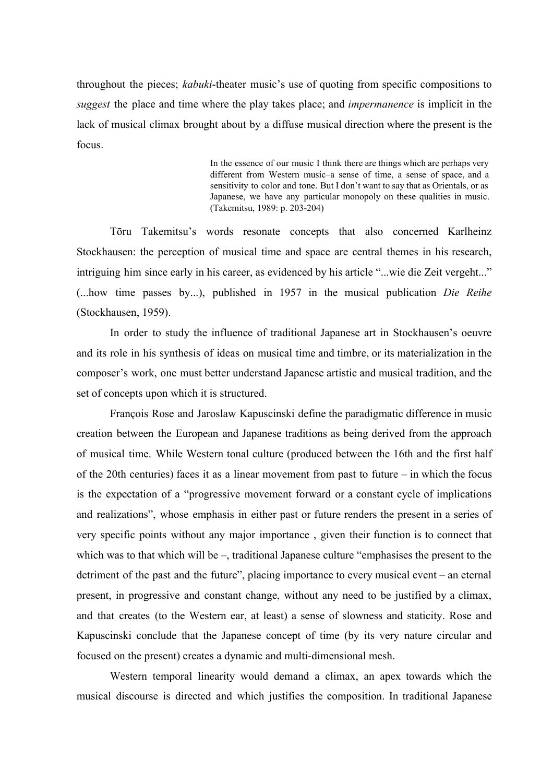throughout the pieces; *kabuki*-theater music's use of quoting from specific compositions to *suggest* the place and time where the play takes place; and *impermanence* is implicit in the lack of musical climax brought about by a diffuse musical direction where the present is the focus.

> In the essence of our music I think there are things which are perhaps very different from Western music–a sense of time, a sense of space, and a sensitivity to color and tone. But I don't want to say that as Orientals, or as Japanese, we have any particular monopoly on these qualities in music. (Takemitsu, 1989: p. 203-204)

Tōru Takemitsu's words resonate concepts that also concerned Karlheinz Stockhausen: the perception of musical time and space are central themes in his research, intriguing him since early in his career, as evidenced by his article "...wie die Zeit vergeht..." (...how time passes by...), published in 1957 in the musical publication *Die Reihe* (Stockhausen, 1959).

In order to study the influence of traditional Japanese art in Stockhausen's oeuvre and its role in his synthesis of ideas on musical time and timbre, or its materialization in the composer's work, one must better understand Japanese artistic and musical tradition, and the set of concepts upon which it is structured.

François Rose and Jaroslaw Kapuscinski define the paradigmatic difference in music creation between the European and Japanese traditions as being derived from the approach of musical time. While Western tonal culture (produced between the 16th and the first half of the 20th centuries) faces it as a linear movement from past to future – in which the focus is the expectation of a "progressive movement forward or a constant cycle of implications and realizations", whose emphasis in either past or future renders the present in a series of very specific points without any major importance , given their function is to connect that which was to that which will be –, traditional Japanese culture "emphasises the present to the detriment of the past and the future", placing importance to every musical event – an eternal present, in progressive and constant change, without any need to be justified by a climax, and that creates (to the Western ear, at least) a sense of slowness and staticity. Rose and Kapuscinski conclude that the Japanese concept of time (by its very nature circular and focused on the present) creates a dynamic and multi-dimensional mesh.

Western temporal linearity would demand a climax, an apex towards which the musical discourse is directed and which justifies the composition. In traditional Japanese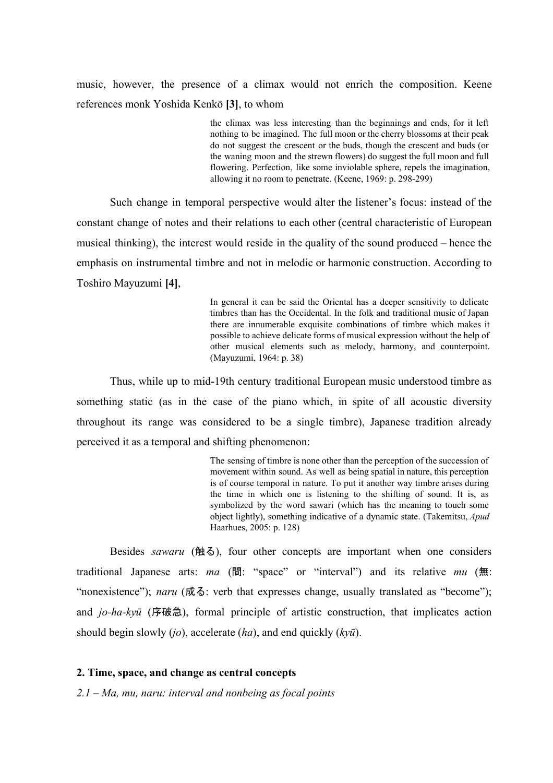music, however, the presence of a climax would not enrich the composition. Keene references monk Yoshida Kenkō **[3]**, to whom

> the climax was less interesting than the beginnings and ends, for it left nothing to be imagined. The full moon or the cherry blossoms at their peak do not suggest the crescent or the buds, though the crescent and buds (or the waning moon and the strewn flowers) do suggest the full moon and full flowering. Perfection, like some inviolable sphere, repels the imagination, allowing it no room to penetrate. (Keene,  $1969: p. 298-299$ )

Such change in temporal perspective would alter the listener's focus: instead of the constant change of notes and their relations to each other (central characteristic of European musical thinking), the interest would reside in the quality of the sound produced – hence the emphasis on instrumental timbre and not in melodic or harmonic construction. According to Toshiro Mayuzumi **[4]**,

> In general it can be said the Oriental has a deeper sensitivity to delicate timbres than has the Occidental. In the folk and traditional music of Japan there are innumerable exquisite combinations of timbre which makes it possible to achieve delicate forms of musical expression without the help of other musical elements such as melody, harmony, and counterpoint. (Mayuzumi, 1964: p. 38)

Thus, while up to mid-19th century traditional European music understood timbre as something static (as in the case of the piano which, in spite of all acoustic diversity throughout its range was considered to be a single timbre), Japanese tradition already perceived it as a temporal and shifting phenomenon:

> The sensing of timbre is none other than the perception of the succession of movement within sound. As well as being spatial in nature, this perception is of course temporal in nature. To put it another way timbre arises during the time in which one is listening to the shifting of sound. It is, as symbolized by the word sawari (which has the meaning to touch some object lightly), something indicative of a dynamic state. (Takemitsu, *Apud* Haarhues, 2005: p. 128)

Besides *sawaru* (触る), four other concepts are important when one considers traditional Japanese arts: *ma* (間: "space" or "interval") and its relative *mu* (無: "nonexistence"); *naru* (成る: verb that expresses change, usually translated as "become"); and *jo-ha-kyū* (序破急), formal principle of artistic construction, that implicates action should begin slowly (*jo*), accelerate (*ha*), and end quickly (*kyū*).

#### **2. Time, space, and change as central concepts**

*2.1 – Ma, mu, naru: interval and nonbeing as focal points*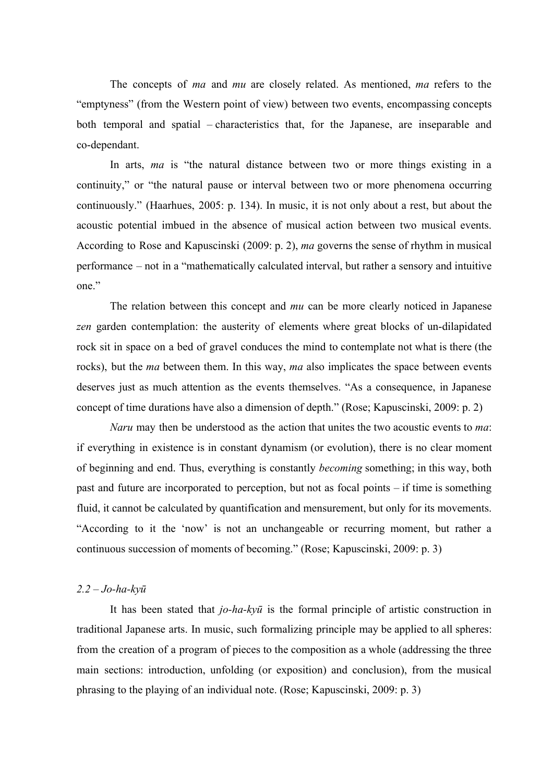The concepts of *ma* and *mu* are closely related. As mentioned, *ma* refers to the "emptyness" (from the Western point of view) between two events, encompassing concepts both temporal and spatial – characteristics that, for the Japanese, are inseparable and co-dependant.

In arts, *ma* is "the natural distance between two or more things existing in a continuity," or "the natural pause or interval between two or more phenomena occurring continuously." (Haarhues, 2005: p. 134). In music, it is not only about a rest, but about the acoustic potential imbued in the absence of musical action between two musical events. According to Rose and Kapuscinski (2009: p. 2), *ma* governs the sense of rhythm in musical performance – not in a "mathematically calculated interval, but rather a sensory and intuitive one."

The relation between this concept and *mu* can be more clearly noticed in Japanese *zen* garden contemplation: the austerity of elements where great blocks of un-dilapidated rock sit in space on a bed of gravel conduces the mind to contemplate not what is there (the rocks), but the *ma* between them. In this way, *ma* also implicates the space between events deserves just as much attention as the events themselves. "As a consequence, in Japanese concept of time durations have also a dimension of depth." (Rose; Kapuscinski, 2009: p. 2)

*Naru* may then be understood as the action that unites the two acoustic events to *ma*: if everything in existence is in constant dynamism (or evolution), there is no clear moment of beginning and end. Thus, everything is constantly *becoming* something; in this way, both past and future are incorporated to perception, but not as focal points – if time is something fluid, it cannot be calculated by quantification and mensurement, but only for its movements. "According to it the 'now' is not an unchangeable or recurring moment, but rather a continuous succession of moments of becoming." (Rose; Kapuscinski, 2009: p. 3)

## *2.2 – Johakyū*

It has been stated that *jo-ha-kyū* is the formal principle of artistic construction in traditional Japanese arts. In music, such formalizing principle may be applied to all spheres: from the creation of a program of pieces to the composition as a whole (addressing the three main sections: introduction, unfolding (or exposition) and conclusion), from the musical phrasing to the playing of an individual note. (Rose; Kapuscinski, 2009: p. 3)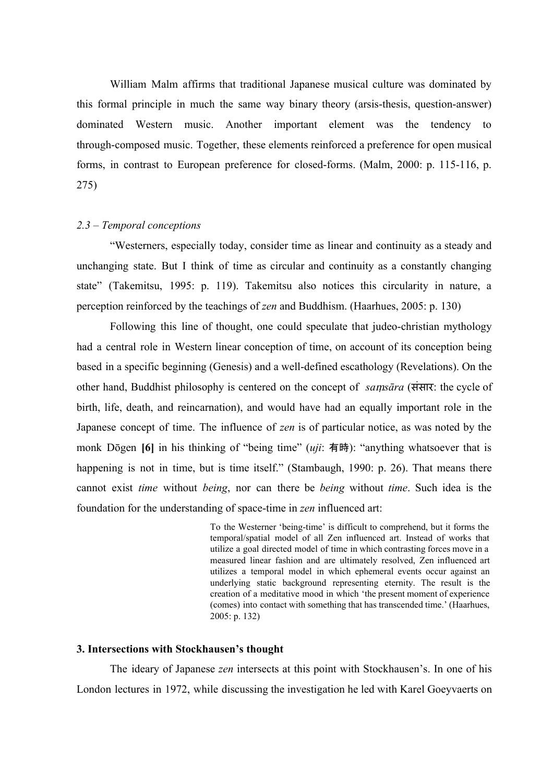William Malm affirms that traditional Japanese musical culture was dominated by this formal principle in much the same way binary theory (arsis-thesis, question-answer) dominated Western music. Another important element was the tendency to through-composed music. Together, these elements reinforced a preference for open musical forms, in contrast to European preference for closed-forms. (Malm,  $2000$ : p. 115-116, p. 275)

## *2.3 – Temporal conceptions*

"Westerners, especially today, consider time as linear and continuity as a steady and unchanging state. But I think of time as circular and continuity as a constantly changing state" (Takemitsu, 1995: p. 119). Takemitsu also notices this circularity in nature, a perception reinforced by the teachings of *zen* and Buddhism. (Haarhues, 2005: p. 130)

Following this line of thought, one could speculate that judeo-christian mythology had a central role in Western linear conception of time, on account of its conception being based in a specific beginning (Genesis) and a well-defined escathology (Revelations). On the other hand, Buddhist philosophy is centered on the concept of *sa*ṃ*sāra* (ससंार: the cycle of birth, life, death, and reincarnation), and would have had an equally important role in the Japanese concept of time. The influence of *zen* is of particular notice, as was noted by the monk Dōgen **[6]** in his thinking of "being time" (*uji*: 有時): "anything whatsoever that is happening is not in time, but is time itself." (Stambaugh, 1990: p. 26). That means there cannot exist *time* without *being*, nor can there be *being* without *time*. Such idea is the foundation for the understanding of space-time in *zen* influenced art:

> To the Westerner 'being-time' is difficult to comprehend, but it forms the temporal/spatial model of all Zen influenced art. Instead of works that utilize a goal directed model of time in which contrasting forces move in a measured linear fashion and are ultimately resolved, Zen influenced art utilizes a temporal model in which ephemeral events occur against an underlying static background representing eternity. The result is the creation of a meditative mood in which 'the present moment of experience (comes) into contact with something that has transcended time.' (Haarhues, 2005: p. 132)

## **3. Intersections with Stockhausen's thought**

The ideary of Japanese *zen* intersects at this point with Stockhausen's. In one of his London lectures in 1972, while discussing the investigation he led with Karel Goeyvaerts on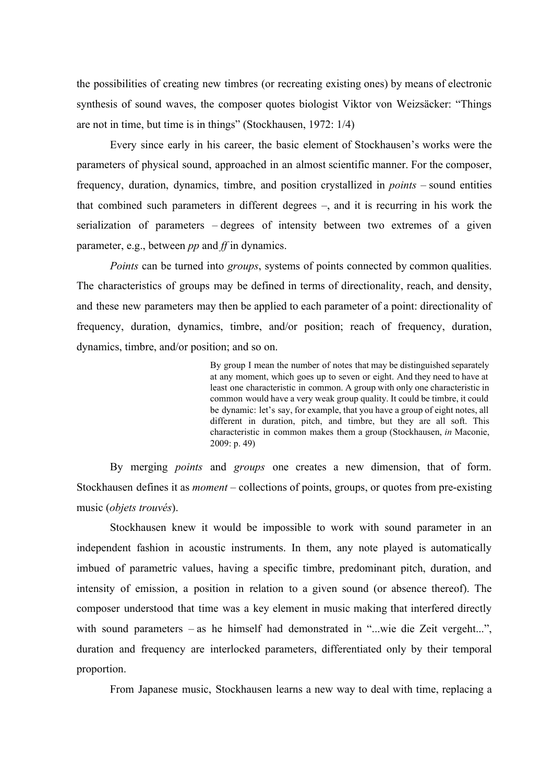the possibilities of creating new timbres (or recreating existing ones) by means of electronic synthesis of sound waves, the composer quotes biologist Viktor von Weizsäcker: "Things are not in time, but time is in things" (Stockhausen, 1972: 1/4)

Every since early in his career, the basic element of Stockhausen's works were the parameters of physical sound, approached in an almost scientific manner. For the composer, frequency, duration, dynamics, timbre, and position crystallized in *points* – sound entities that combined such parameters in different degrees –, and it is recurring in his work the serialization of parameters – degrees of intensity between two extremes of a given parameter, e.g., between *pp* and *f* in dynamics.

*Points* can be turned into *groups*, systems of points connected by common qualities. The characteristics of groups may be defined in terms of directionality, reach, and density, and these new parameters may then be applied to each parameter of a point: directionality of frequency, duration, dynamics, timbre, and/or position; reach of frequency, duration, dynamics, timbre, and/or position; and so on.

> By group I mean the number of notes that may be distinguished separately at any moment, which goes up to seven or eight. And they need to have at least one characteristic in common. A group with only one characteristic in common would have a very weak group quality. It could be timbre, it could be dynamic: let's say, for example, that you have a group of eight notes, all different in duration, pitch, and timbre, but they are all soft. This characteristic in common makes them a group (Stockhausen, *in* Maconie, 2009: p. 49)

By merging *points* and *groups* one creates a new dimension, that of form. Stockhausen defines it as *moment* – collections of points, groups, or quotes from pre-existing music (*objets trouvés*).

Stockhausen knew it would be impossible to work with sound parameter in an independent fashion in acoustic instruments. In them, any note played is automatically imbued of parametric values, having a specific timbre, predominant pitch, duration, and intensity of emission, a position in relation to a given sound (or absence thereof). The composer understood that time was a key element in music making that interfered directly with sound parameters – as he himself had demonstrated in "...wie die Zeit vergeht...", duration and frequency are interlocked parameters, differentiated only by their temporal proportion.

From Japanese music, Stockhausen learns a new way to deal with time, replacing a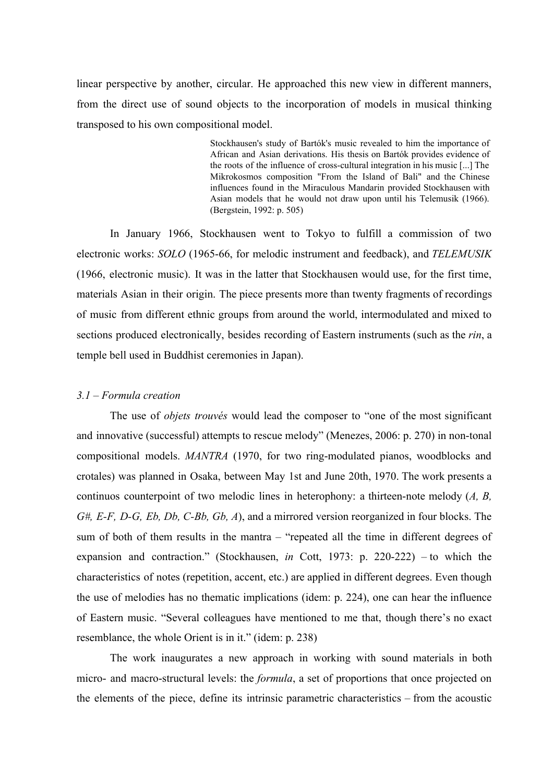linear perspective by another, circular. He approached this new view in different manners, from the direct use of sound objects to the incorporation of models in musical thinking transposed to his own compositional model.

> Stockhausen's study of Bartók's music revealed to him the importance of African and Asian derivations. His thesis on Bartók provides evidence of the roots of the influence of cross-cultural integration in his music [...] The Mikrokosmos composition "From the Island of Bali" and the Chinese influences found in the Miraculous Mandarin provided Stockhausen with Asian models that he would not draw upon until his Telemusik (1966). (Bergstein, 1992: p. 505)

In January 1966, Stockhausen went to Tokyo to fulfill a commission of two electronic works: *SOLO* (1965-66, for melodic instrument and feedback), and *TELEMUSIK* (1966, electronic music). It was in the latter that Stockhausen would use, for the first time, materials Asian in their origin. The piece presents more than twenty fragments of recordings of music from different ethnic groups from around the world, intermodulated and mixed to sections produced electronically, besides recording of Eastern instruments (such as the *rin*, a temple bell used in Buddhist ceremonies in Japan).

#### *3.1 – Formula creation*

The use of *objets trouvés* would lead the composer to "one of the most significant and innovative (successful) attempts to rescue melody" (Menezes, 2006: p. 270) in non-tonal compositional models. *MANTRA* (1970, for two ring-modulated pianos, woodblocks and crotales) was planned in Osaka, between May 1st and June 20th, 1970. The work presents a continuos counterpoint of two melodic lines in heterophony: a thirteen-note melody  $(A, B, B)$ *G#, EF, DG, Eb, Db, CBb, Gb, A*), and a mirrored version reorganized in four blocks. The sum of both of them results in the mantra – "repeated all the time in different degrees of expansion and contraction." (Stockhausen,  $in$  Cott, 1973: p. 220-222) – to which the characteristics of notes (repetition, accent, etc.) are applied in different degrees. Even though the use of melodies has no thematic implications (idem: p. 224), one can hear the influence of Eastern music. "Several colleagues have mentioned to me that, though there's no exact resemblance, the whole Orient is in it." (idem: p. 238)

The work inaugurates a new approach in working with sound materials in both micro- and macro-structural levels: the *formula*, a set of proportions that once projected on the elements of the piece, define its intrinsic parametric characteristics – from the acoustic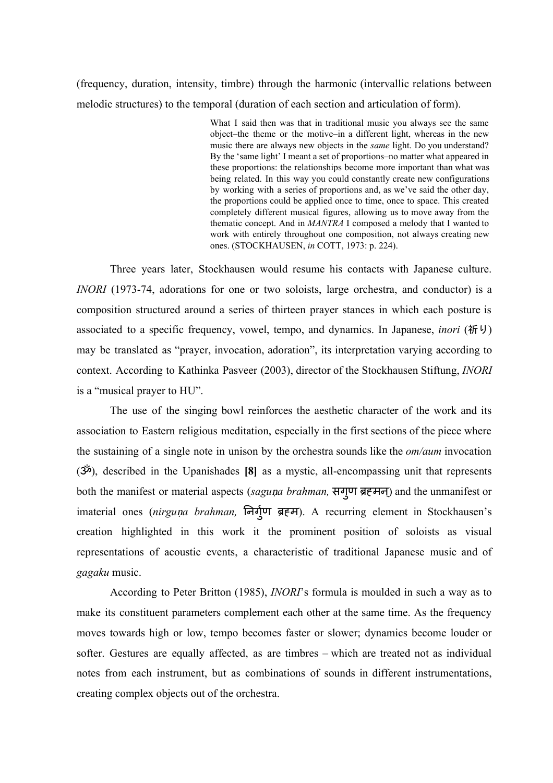(frequency, duration, intensity, timbre) through the harmonic (intervallic relations between melodic structures) to the temporal (duration of each section and articulation of form).

> What I said then was that in traditional music you always see the same object–the theme or the motive–in a different light, whereas in the new music there are always new objects in the *same* light. Do you understand? By the 'same light' I meant a set of proportions–no matter what appeared in these proportions: the relationships become more important than what was being related. In this way you could constantly create new configurations by working with a series of proportions and, as we've said the other day, the proportions could be applied once to time, once to space. This created completely different musical figures, allowing us to move away from the thematic concept. And in *MANTRA* I composed a melody that I wanted to work with entirely throughout one composition, not always creating new ones. (STOCKHAUSEN, *in* COTT, 1973: p. 224).

Three years later, Stockhausen would resume his contacts with Japanese culture. *INORI* (1973-74, adorations for one or two soloists, large orchestra, and conductor) is a composition structured around a series of thirteen prayer stances in which each posture is associated to a specific frequency, vowel, tempo, and dynamics. In Japanese, *inori* (祈り) may be translated as "prayer, invocation, adoration", its interpretation varying according to context. According to Kathinka Pasveer (2003), director of the Stockhausen Stiftung, *INORI* is a "musical prayer to HU".

The use of the singing bowl reinforces the aesthetic character of the work and its association to Eastern religious meditation, especially in the first sections of the piece where the sustaining of a single note in unison by the orchestra sounds like the *om/aum* invocation (ॐ), described in the Upanishades **[8]** as a mystic, allencompassing unit that represents both the manifest or material aspects (saguṇa brahman, सगुण ब्रहमन्) and the unmanifest or imaterial ones (nirguṇa brahman, निर्गुण ब्रहम). A recurring element in Stockhausen's creation highlighted in this work it the prominent position of soloists as visual representations of acoustic events, a characteristic of traditional Japanese music and of *gagaku* music.

According to Peter Britton (1985), *INORI*'s formula is moulded in such a way as to make its constituent parameters complement each other at the same time. As the frequency moves towards high or low, tempo becomes faster or slower; dynamics become louder or softer. Gestures are equally affected, as are timbres – which are treated not as individual notes from each instrument, but as combinations of sounds in different instrumentations, creating complex objects out of the orchestra.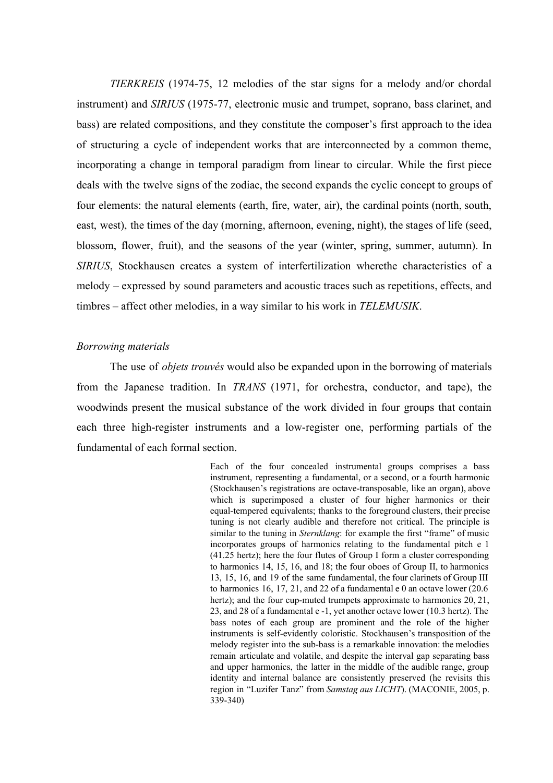*TIERKREIS* (1974-75, 12 melodies of the star signs for a melody and/or chordal instrument) and *SIRIUS* (1975-77, electronic music and trumpet, soprano, bass clarinet, and bass) are related compositions, and they constitute the composer's first approach to the idea of structuring a cycle of independent works that are interconnected by a common theme, incorporating a change in temporal paradigm from linear to circular. While the first piece deals with the twelve signs of the zodiac, the second expands the cyclic concept to groups of four elements: the natural elements (earth, fire, water, air), the cardinal points (north, south, east, west), the times of the day (morning, afternoon, evening, night), the stages of life (seed, blossom, flower, fruit), and the seasons of the year (winter, spring, summer, autumn). In *SIRIUS*, Stockhausen creates a system of interfertilization wherethe characteristics of a melody – expressed by sound parameters and acoustic traces such as repetitions, effects, and timbres – affect other melodies, in a way similar to his work in *TELEMUSIK*.

#### *Borrowing materials*

The use of *objets trouvés* would also be expanded upon in the borrowing of materials from the Japanese tradition. In *TRANS* (1971, for orchestra, conductor, and tape), the woodwinds present the musical substance of the work divided in four groups that contain each three high-register instruments and a low-register one, performing partials of the fundamental of each formal section.

> Each of the four concealed instrumental groups comprises a bass instrument, representing a fundamental, or a second, or a fourth harmonic (Stockhausen's registrations are octave-transposable, like an organ), above which is superimposed a cluster of four higher harmonics or their equal-tempered equivalents; thanks to the foreground clusters, their precise tuning is not clearly audible and therefore not critical. The principle is similar to the tuning in *Sternklang*: for example the first "frame" of music incorporates groups of harmonics relating to the fundamental pitch e 1 (41.25 hertz); here the four flutes of Group I form a cluster corresponding to harmonics 14, 15, 16, and 18; the four oboes of Group II, to harmonics 13, 15, 16, and 19 of the same fundamental, the four clarinets of Group III to harmonics 16, 17, 21, and 22 of a fundamental  $e$  0 an octave lower (20.6) hertz); and the four cup-muted trumpets approximate to harmonics  $20$ ,  $21$ , 23, and 28 of a fundamental e 1, yet another octave lower (10.3 hertz). The bass notes of each group are prominent and the role of the higher instruments is self-evidently coloristic. Stockhausen's transposition of the melody register into the sub-bass is a remarkable innovation: the melodies remain articulate and volatile, and despite the interval gap separating bass and upper harmonics, the latter in the middle of the audible range, group identity and internal balance are consistently preserved (he revisits this region in "Luzifer Tanz" from *Samstag aus LICHT*). (MACONIE, 2005, p. 339340)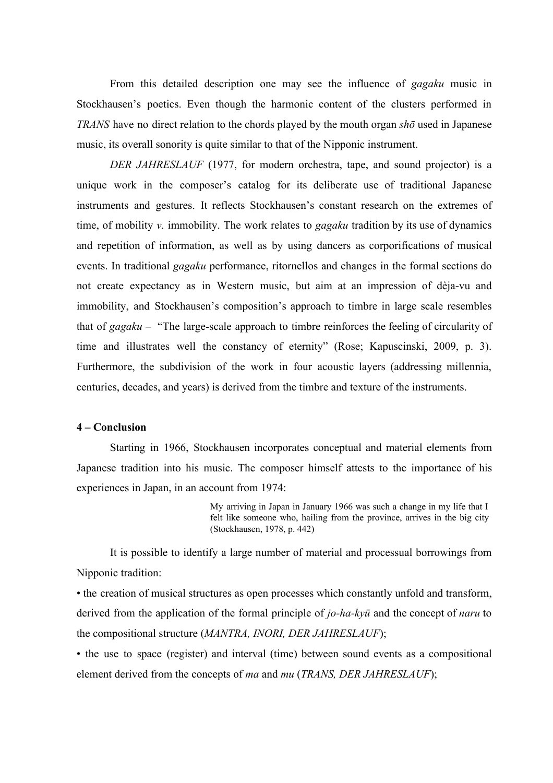From this detailed description one may see the influence of *gagaku* music in Stockhausen's poetics. Even though the harmonic content of the clusters performed in *TRANS* have no direct relation to the chords played by the mouth organ *shō* used in Japanese music, its overall sonority is quite similar to that of the Nipponic instrument.

*DER JAHRESLAUF* (1977, for modern orchestra, tape, and sound projector) is a unique work in the composer's catalog for its deliberate use of traditional Japanese instruments and gestures. It reflects Stockhausen's constant research on the extremes of time, of mobility *v.* immobility. The work relates to *gagaku* tradition by its use of dynamics and repetition of information, as well as by using dancers as corporifications of musical events. In traditional *gagaku* performance, ritornellos and changes in the formal sections do not create expectancy as in Western music, but aim at an impression of dèja-vu and immobility, and Stockhausen's composition's approach to timbre in large scale resembles that of *gagaku* – "The large-scale approach to timbre reinforces the feeling of circularity of time and illustrates well the constancy of eternity" (Rose; Kapuscinski, 2009, p. 3). Furthermore, the subdivision of the work in four acoustic layers (addressing millennia, centuries, decades, and years) is derived from the timbre and texture of the instruments.

# **4 – Conclusion**

Starting in 1966, Stockhausen incorporates conceptual and material elements from Japanese tradition into his music. The composer himself attests to the importance of his experiences in Japan, in an account from 1974:

> My arriving in Japan in January 1966 was such a change in my life that I felt like someone who, hailing from the province, arrives in the big city (Stockhausen, 1978, p. 442)

It is possible to identify a large number of material and processual borrowings from Nipponic tradition:

• the creation of musical structures as open processes which constantly unfold and transform, derived from the application of the formal principle of *jo-ha-kyū* and the concept of *naru* to the compositional structure (*MANTRA, INORI, DER JAHRESLAUF*);

• the use to space (register) and interval (time) between sound events as a compositional element derived from the concepts of *ma* and *mu* (*TRANS, DER JAHRESLAUF*);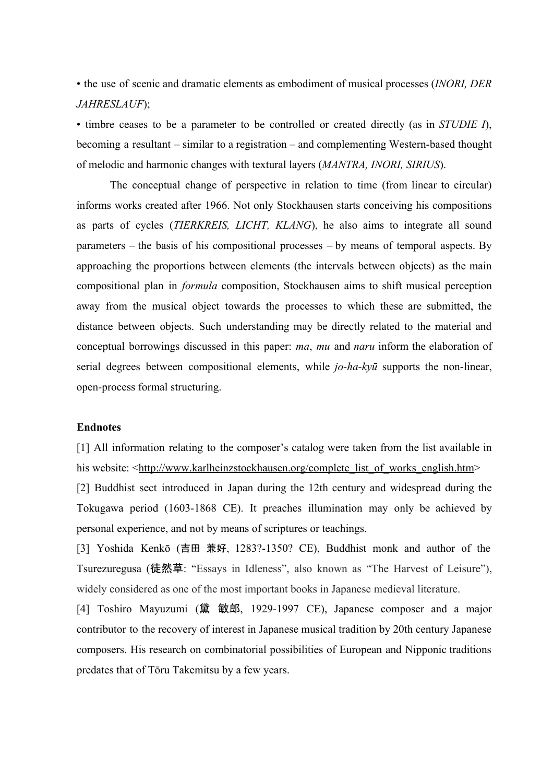• the use of scenic and dramatic elements as embodiment of musical processes (*INORI, DER JAHRESLAUF*);

• timbre ceases to be a parameter to be controlled or created directly (as in *STUDIE I*), becoming a resultant – similar to a registration – and complementing Western-based thought of melodic and harmonic changes with textural layers (*MANTRA, INORI, SIRIUS*).

The conceptual change of perspective in relation to time (from linear to circular) informs works created after 1966. Not only Stockhausen starts conceiving his compositions as parts of cycles (*TIERKREIS, LICHT, KLANG*), he also aims to integrate all sound parameters – the basis of his compositional processes – by means of temporal aspects. By approaching the proportions between elements (the intervals between objects) as the main compositional plan in *formula* composition, Stockhausen aims to shift musical perception away from the musical object towards the processes to which these are submitted, the distance between objects. Such understanding may be directly related to the material and conceptual borrowings discussed in this paper: *ma*, *mu* and *naru* inform the elaboration of serial degrees between compositional elements, while *jo-ha-kyū* supports the non-linear, open-process formal structuring.

# **Endnotes**

[1] All information relating to the composer's catalog were taken from the list available in his website: <[http://www.karlheinzstockhausen.org/complete\\_list\\_of\\_works\\_english.htm>](http://www.karlheinzstockhausen.org/complete_list_of_works_english.htm)

[2] Buddhist sect introduced in Japan during the 12th century and widespread during the Tokugawa period (1603-1868 CE). It preaches illumination may only be achieved by personal experience, and not by means of scriptures or teachings.

[3] Yoshida Kenkō (吉田 兼好, 1283?1350? CE), Buddhist monk and author of the Tsurezuregusa (徒然草: "Essays in Idleness", also known as "The Harvest of Leisure"), widely considered as one of the most important books in Japanese medieval literature.

[4] Toshiro Mayuzumi (黛 敏郎, 1929-1997 CE), Japanese composer and a major contributor to the recovery of interest in Japanese musical tradition by 20th century Japanese composers. His research on combinatorial possibilities of European and Nipponic traditions predates that of Tōru Takemitsu by a few years.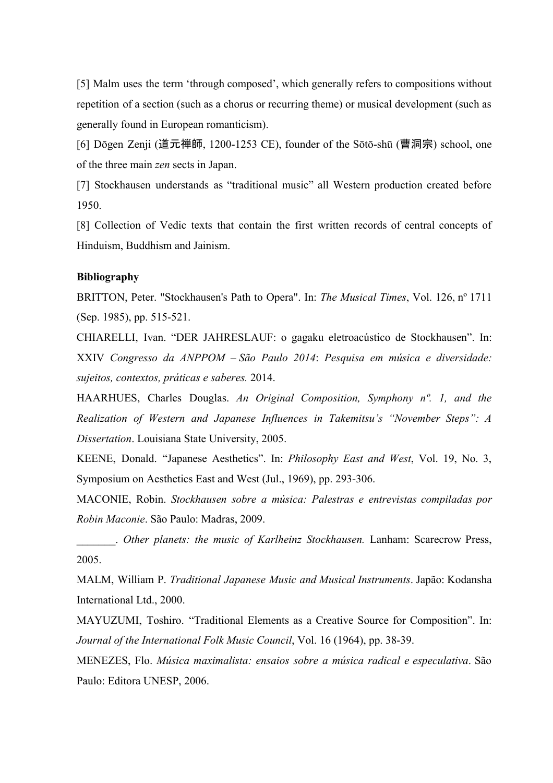[5] Malm uses the term 'through composed', which generally refers to compositions without repetition of a section (such as a chorus or recurring theme) or musical development (such as generally found in European romanticism).

[6] Dōgen Zenji (道元禅師, 1200-1253 CE), founder of the Sōtō-shū (曹洞宗) school, one of the three main *zen* sects in Japan.

[7] Stockhausen understands as "traditional music" all Western production created before 1950.

[8] Collection of Vedic texts that contain the first written records of central concepts of Hinduism, Buddhism and Jainism.

## **Bibliography**

BRITTON, Peter. "Stockhausen's Path to Opera". In: *The Musical Times*, Vol. 126, nº 1711 (Sep. 1985), pp. 515-521.

CHIARELLI, Ivan. "DER JAHRESLAUF: o gagaku eletroacústico de Stockhausen". In: XXIV *Congresso da ANPPOM – São Paulo 2014*: *Pesquisa em música e diversidade: sujeitos, contextos, práticas e saberes.* 2014.

HAARHUES, Charles Douglas. *An Original Composition, Symphony nº. 1, and the Realization of Western and Japanese Influences in Takemitsu's "November Steps": A Dissertation*. Louisiana State University, 2005.

KEENE, Donald. "Japanese Aesthetics". In: *Philosophy East and West*, Vol. 19, No. 3, Symposium on Aesthetics East and West (Jul., 1969), pp. 293-306.

MACONIE, Robin. *Stockhausen sobre a música: Palestras e entrevistas compiladas por Robin Maconie*. São Paulo: Madras, 2009.

\_\_\_\_\_\_\_. *Other planets: the music of Karlheinz Stockhausen.* Lanham: Scarecrow Press, 2005.

MALM, William P. *Traditional Japanese Music and Musical Instruments*. Japão: Kodansha International Ltd., 2000.

MAYUZUMI, Toshiro. "Traditional Elements as a Creative Source for Composition". In: *Journal of the International Folk Music Council, Vol. 16 (1964), pp. 38-39.* 

MENEZES, Flo. *Música maximalista: ensaios sobre a música radical e especulativa*. São Paulo: Editora UNESP, 2006.